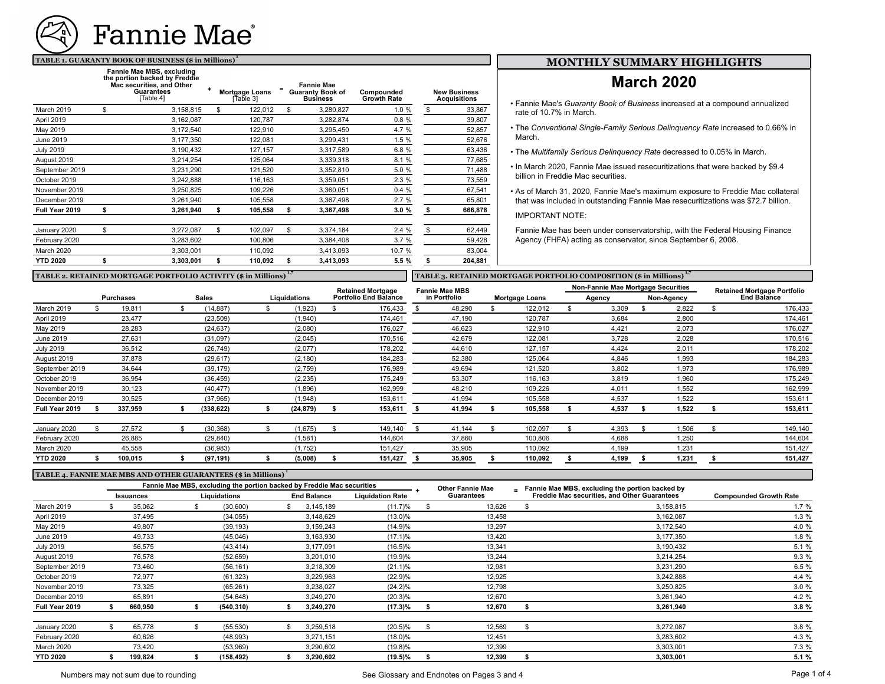

#### **TABLE 1. GUARANTY BOOK OF BUSINESS (\$ in Millions) <sup>1</sup>**

|                  | Fannie Mae MBS, excluding<br>the portion backed by Freddie<br>Mac securities, and Other<br><b>Guarantees</b><br>[Table 4] | Mortgage Loans<br>[Table 3] | <b>Fannie Mae</b><br><b>Guaranty Book of</b><br><b>Business</b> | Compounded<br><b>Growth Rate</b> | <b>New Business</b><br><b>Acquisitions</b> |
|------------------|---------------------------------------------------------------------------------------------------------------------------|-----------------------------|-----------------------------------------------------------------|----------------------------------|--------------------------------------------|
| March 2019       | \$<br>3,158,815                                                                                                           | \$<br>122,012               | \$<br>3,280,827                                                 | 1.0 %                            | \$<br>33,867                               |
| April 2019       | 3,162,087                                                                                                                 | 120,787                     | 3,282,874                                                       | 0.8%                             | 39,807                                     |
| May 2019         | 3,172,540                                                                                                                 | 122,910                     | 3,295,450                                                       | 4.7 %                            | 52,857                                     |
| June 2019        | 3,177,350                                                                                                                 | 122,081                     | 3,299,431                                                       | 1.5 %                            | 52,676                                     |
| <b>July 2019</b> | 3,190,432                                                                                                                 | 127,157                     | 3,317,589                                                       | 6.8%                             | 63,436                                     |
| August 2019      | 3,214,254                                                                                                                 | 125,064                     | 3,339,318                                                       | 8.1 %                            | 77,685                                     |
| September 2019   | 3,231,290                                                                                                                 | 121,520                     | 3,352,810                                                       | 5.0 %                            | 71,488                                     |
| October 2019     | 3,242,888                                                                                                                 | 116,163                     | 3,359,051                                                       | 2.3%                             | 73,559                                     |
| November 2019    | 3,250,825                                                                                                                 | 109,226                     | 3,360,051                                                       | 0.4%                             | 67,541                                     |
| December 2019    | 3,261,940                                                                                                                 | 105,558                     | 3,367,498                                                       | 2.7%                             | 65,801                                     |
| Full Year 2019   | \$<br>3,261,940                                                                                                           | \$<br>105,558               | \$<br>3,367,498                                                 | 3.0%                             | \$<br>666,878                              |
| January 2020     | \$<br>3,272,087                                                                                                           | \$<br>102,097               | \$<br>3,374,184                                                 | 2.4%                             | \$<br>62,449                               |
| February 2020    | 3,283,602                                                                                                                 | 100,806                     | 3,384,408                                                       | 3.7%                             | 59,428                                     |
| March 2020       | 3,303,001                                                                                                                 | 110,092                     | 3,413,093                                                       | 10.7 %                           | 83,004                                     |
| <b>YTD 2020</b>  | \$<br>3,303,001                                                                                                           | \$<br>110,092               | \$<br>3,413,093<br>$\blacksquare$                               | 5.5 %                            | \$<br>204,881                              |

## **MONTHLY SUMMARY HIGHLIGHTS**

# **March 2020**

- The *Conventional Single-Family Serious Delinquency Rate* increased to 0.66% in March.
- The *Multifamily Serious Delinquency Rate* decreased to 0.05% in March.
- In March 2020, Fannie Mae issued resecuritizations that were backed by \$9.4 billion in Freddie Mac securities.
- As of March 31, 2020, Fannie Mae's maximum exposure to Freddie Mac collateral that was included in outstanding Fannie Mae resecuritizations was \$72.7 billion.

IMPORTANT NOTE:

Fannie Mae has been under conservatorship, with the Federal Housing Finance Agency (FHFA) acting as conservator, since September 6, 2008.

| TABLE 2. RETAINED MORTGAGE PORTFOLIO ACTIVITY (\$ in Millions) |                          |                  |  |              |  |              |                              |                       | TABLE 3. RETAINED MORTGAGE PORTFOLIO COMPOSITION (\$ in Millions) |              |  |                                    |  |        |  |                                    |                    |         |
|----------------------------------------------------------------|--------------------------|------------------|--|--------------|--|--------------|------------------------------|-----------------------|-------------------------------------------------------------------|--------------|--|------------------------------------|--|--------|--|------------------------------------|--------------------|---------|
|                                                                | <b>Retained Mortgage</b> |                  |  |              |  |              |                              | <b>Fannie Mae MBS</b> |                                                                   |              |  | Non-Fannie Mae Mortgage Securities |  |        |  | <b>Retained Mortgage Portfolio</b> |                    |         |
|                                                                |                          | <b>Purchases</b> |  | <b>Sales</b> |  | Liquidations | <b>Portfolio End Balance</b> |                       |                                                                   | in Portfolio |  | Mortgage Loans                     |  | Agency |  | Non-Agency                         | <b>End Balance</b> |         |
| March 2019                                                     |                          | 19,811           |  | (14, 887)    |  | (1,923)      |                              | 176,433               |                                                                   | 48,290       |  | 122,012                            |  | 3,309  |  | 2,822                              |                    | 176,433 |
| April 2019                                                     |                          | 23,477           |  | (23, 509)    |  | (1,940)      |                              | 174,461               |                                                                   | 47,190       |  | 120,787                            |  | 3,684  |  | 2,800                              |                    | 174,461 |
| May 2019                                                       |                          | 28,283           |  | (24, 637)    |  | (2,080)      |                              | 176,027               |                                                                   | 46,623       |  | 122,910                            |  | 4,421  |  | 2,073                              |                    | 176,027 |
| June 2019                                                      |                          | 27,631           |  | (31,097)     |  | (2,045)      |                              | 170,516               |                                                                   | 42,679       |  | 122,081                            |  | 3,728  |  | 2,028                              |                    | 170,516 |
| <b>July 2019</b>                                               |                          | 36,512           |  | (26, 749)    |  | (2,077)      |                              | 178,202               |                                                                   | 44,610       |  | 127,157                            |  | 4,424  |  | 2,011                              |                    | 178,202 |
| August 2019                                                    |                          | 37,878           |  | (29, 617)    |  | (2, 180)     |                              | 184,283               |                                                                   | 52,380       |  | 125,064                            |  | 4,846  |  | 1,993                              |                    | 184,283 |
| September 2019                                                 |                          | 34,644           |  | (39, 179)    |  | (2,759)      |                              | 176,989               |                                                                   | 49,694       |  | 121,520                            |  | 3,802  |  | 1,973                              |                    | 176,989 |
| October 2019                                                   |                          | 36,954           |  | (36, 459)    |  | (2, 235)     |                              | 175,249               |                                                                   | 53,307       |  | 116,163                            |  | 3,819  |  | 1.960                              |                    | 175,249 |
| November 2019                                                  |                          | 30,123           |  | (40, 477)    |  | (1,896)      |                              | 162,999               |                                                                   | 48,210       |  | 109,226                            |  | 4,011  |  | 1,552                              |                    | 162,999 |
| December 2019                                                  |                          | 30,525           |  | (37, 965)    |  | (1,948)      |                              | 153,611               |                                                                   | 41,994       |  | 105,558                            |  | 4,537  |  | 1.522                              |                    | 153,611 |
| Full Year 2019                                                 |                          | 337,959          |  | (338, 622)   |  | (24, 879)    |                              | 153,611               |                                                                   | 41,994       |  | 105,558                            |  | 4,537  |  | 1,522                              |                    | 153,611 |
| January 2020                                                   |                          | 27,572           |  | (30, 368)    |  | (1,675)      |                              | 149,140               |                                                                   | 41,144       |  | 102,097                            |  | 4,393  |  | 1,506                              |                    | 149,140 |
| February 2020                                                  |                          | 26,885           |  | (29, 840)    |  | (1,581)      |                              | 144,604               |                                                                   | 37,860       |  | 100,806                            |  | 4,688  |  | 1,250                              |                    | 144,604 |
| March 2020                                                     |                          | 45,558           |  | (36, 983)    |  | (1,752)      |                              | 151,427               |                                                                   | 35,905       |  | 110,092                            |  | 4,199  |  | 1,231                              |                    | 151,427 |
| <b>YTD 2020</b>                                                |                          | 100,015          |  | (97, 191)    |  | (5,008)      |                              | 151,427               |                                                                   | 35,905       |  | 110,092                            |  | 4,199  |  | 1,231                              |                    | 151,427 |

#### **TABLE 4. FANNIE MAE MBS AND OTHER GUARANTEES (\$ in Millions) <sup>1</sup>**

|                  |                  |         | Fannie Mae MBS, excluding the portion backed by Freddie Mac securities |              |  |                    | <b>Other Fannie Mae</b> | $=$ Fannie Mae MBS, excluding the portion backed by |                                                     |                               |  |
|------------------|------------------|---------|------------------------------------------------------------------------|--------------|--|--------------------|-------------------------|-----------------------------------------------------|-----------------------------------------------------|-------------------------------|--|
|                  | <b>Issuances</b> |         |                                                                        | Liquidations |  | <b>End Balance</b> | <b>Liquidation Rate</b> | Guarantees                                          | <b>Freddie Mac securities, and Other Guarantees</b> | <b>Compounded Growth Rate</b> |  |
| March 2019       |                  | 35,062  |                                                                        | (30,600)     |  | 3,145,189          | (11.7)%                 | 13,626                                              | 3,158,815                                           | 1.7%                          |  |
| April 2019       |                  | 37,495  |                                                                        | (34, 055)    |  | 3,148,629          | $(13.0)\%$              | 13,458                                              | 3,162,087                                           | 1.3%                          |  |
| May 2019         |                  | 49,807  |                                                                        | (39, 193)    |  | 3,159,243          | (14.9)%                 | 13.297                                              | 3,172,540                                           | 4.0 %                         |  |
| June 2019        |                  | 49,733  |                                                                        | (45,046)     |  | 3,163,930          | $(17.1)\%$              | 13,420                                              | 3,177,350                                           | 1.8 %                         |  |
| <b>July 2019</b> |                  | 56,575  |                                                                        | (43, 414)    |  | 3,177,091          | $(16.5)\%$              | 13,341                                              | 3,190,432                                           | 5.1 %                         |  |
| August 2019      |                  | 76,578  |                                                                        | (52, 659)    |  | 3,201,010          | (19.9)%                 | 13,244                                              | 3,214,254                                           | 9.3 %                         |  |
| September 2019   |                  | 73,460  |                                                                        | (56, 161)    |  | 3,218,309          | $(21.1)\%$              | 12,981                                              | 3,231,290                                           | 6.5%                          |  |
| October 2019     |                  | 72,977  |                                                                        | (61, 323)    |  | 3,229,963          | (22.9)%                 | 12,925                                              | 3,242,888                                           | 4.4 %                         |  |
| November 2019    |                  | 73,325  |                                                                        | (65, 261)    |  | 3,238,027          | $(24.2)\%$              | 12,798                                              | 3,250,825                                           | 3.0%                          |  |
| December 2019    |                  | 65,891  |                                                                        | (54, 648)    |  | 3,249,270          | $(20.3)\%$              | 12.670                                              | 3,261,940                                           | 4.2 %                         |  |
| Full Year 2019   |                  | 660,950 |                                                                        | (540, 310)   |  | 3,249,270          | (17.3)%                 | 12,670                                              | 3,261,940                                           | 3.8 %                         |  |
| January 2020     |                  | 65,778  |                                                                        | (55, 530)    |  | 3,259,518          | $(20.5)\%$              | 12,569                                              | 3,272,087                                           | 3.8 %                         |  |
| February 2020    |                  | 60,626  |                                                                        | (48,993)     |  | 3,271,151          | $(18.0)\%$              | 12.451                                              | 3,283,602                                           | 4.3 %                         |  |
| March 2020       |                  | 73,420  |                                                                        | (53,969)     |  | 3,290,602          | (19.8)%                 | 12,399                                              | 3,303,001                                           | 7.3 %                         |  |
| <b>YTD 2020</b>  |                  | 199,824 |                                                                        | (158, 492)   |  | 3,290,602          | $(19.5)\%$              | 12,399                                              | 3,303,001                                           | 5.1 %                         |  |

<sup>•</sup> Fannie Mae's *Guaranty Book of Business* increased at a compound annualized rate of 10.7% in March.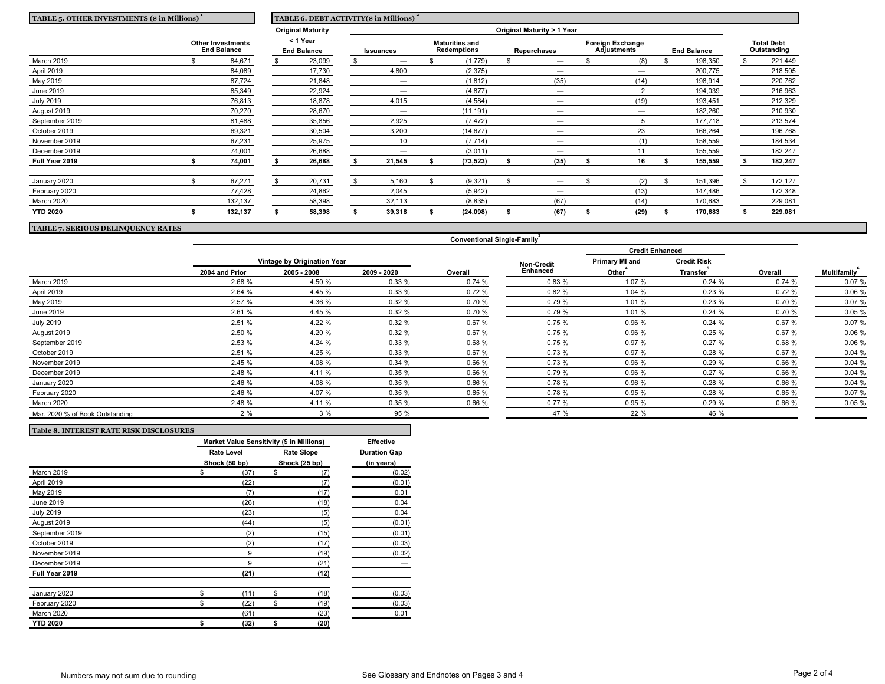| TABLE 5. OTHER INVESTMENTS (\$ in Millions)    |  |                                | TABLE 6. DEBT ACTIVITY(\$ in Millions) |           |                                      |           |                    |                                |                                               |      |                    |         |                                  |         |
|------------------------------------------------|--|--------------------------------|----------------------------------------|-----------|--------------------------------------|-----------|--------------------|--------------------------------|-----------------------------------------------|------|--------------------|---------|----------------------------------|---------|
|                                                |  |                                | <b>Original Maturity</b>               |           |                                      |           |                    | Original Maturity > 1 Year     |                                               |      |                    |         |                                  |         |
| <b>Other Investments</b><br><b>End Balance</b> |  | < 1 Year<br><b>End Balance</b> |                                        | Issuances | <b>Maturities and</b><br>Redemptions |           | <b>Repurchases</b> |                                | <b>Foreign Exchange</b><br><b>Adjustments</b> |      | <b>End Balance</b> |         | <b>Total Debt</b><br>Outstanding |         |
| March 2019                                     |  | 84,671                         | 23,099                                 |           |                                      | (1,779)   |                    | $\overline{\phantom{0}}$       |                                               | (8)  |                    | 198,350 |                                  | 221,449 |
| April 2019                                     |  | 84,089                         | 17,730                                 |           | 4,800                                | (2, 375)  |                    |                                |                                               |      |                    | 200,775 |                                  | 218,505 |
| May 2019                                       |  | 87,724                         | 21,848                                 |           | $\overline{\phantom{m}}$             | (1, 812)  |                    | (35)                           |                                               | (14) |                    | 198,914 |                                  | 220,762 |
| June 2019                                      |  | 85,349                         | 22,924                                 |           |                                      | (4, 877)  |                    | $\overline{\phantom{0}}$       |                                               |      |                    | 194,039 |                                  | 216,963 |
| <b>July 2019</b>                               |  | 76,813                         | 18,878                                 |           | 4,015                                | (4, 584)  |                    | $\overline{\phantom{0}}$       |                                               | (19) |                    | 193,451 |                                  | 212,329 |
| August 2019                                    |  | 70,270                         | 28,670                                 |           | $\overline{\phantom{m}}$             | (11, 191) |                    | $\overline{\phantom{0}}$       |                                               | —    |                    | 182,260 |                                  | 210,930 |
| September 2019                                 |  | 81,488                         | 35,856                                 |           | 2,925                                | (7, 472)  |                    |                                |                                               |      |                    | 177,718 |                                  | 213,574 |
| October 2019                                   |  | 69,321                         | 30,504                                 |           | 3,200                                | (14, 677) |                    |                                |                                               | 23   |                    | 166,264 |                                  | 196,768 |
| November 2019                                  |  | 67,231                         | 25,975                                 |           | 10                                   | (7, 714)  |                    | $\overline{\phantom{0}}$       |                                               | (1)  |                    | 158,559 |                                  | 184,534 |
| December 2019                                  |  | 74,001                         | 26,688                                 |           | -                                    | (3,011)   |                    | $\overline{\phantom{0}}$       |                                               | 11   |                    | 155,559 |                                  | 182,247 |
| Full Year 2019                                 |  | 74,001                         | 26,688                                 |           | 21,545                               | (73, 523) |                    | (35)                           |                                               | 16   |                    | 155,559 |                                  | 182,247 |
| January 2020                                   |  | 67,271                         | 20,731                                 |           | 5,160                                | (9,321)   |                    | $\qquad \qquad \longleftarrow$ |                                               | (2)  | \$                 | 151,396 |                                  | 172,127 |
| February 2020                                  |  | 77,428                         | 24,862                                 |           | 2,045                                | (5,942)   |                    | $\overline{\phantom{0}}$       |                                               | (13) |                    | 147,486 |                                  | 172,348 |
| March 2020                                     |  | 132,137                        | 58,398                                 |           | 32,113                               | (8,835)   |                    | (67)                           |                                               | (14) |                    | 170,683 |                                  | 229,081 |
| <b>YTD 2020</b>                                |  | 132,137                        | 58,398                                 |           | 39,318                               | (24, 098) |                    | (67)                           |                                               | (29) |                    | 170,683 |                                  | 229,081 |

**TABLE 7. SERIOUS DELINQUENCY RATES**

|                                 |                |                             |             |         |                   | <b>Credit Enhanced</b> |                    |         | Multifamily |
|---------------------------------|----------------|-----------------------------|-------------|---------|-------------------|------------------------|--------------------|---------|-------------|
|                                 |                | Vintage by Origination Year |             |         | <b>Non-Credit</b> | <b>Primary MI and</b>  | <b>Credit Risk</b> |         |             |
|                                 | 2004 and Prior | 2005 - 2008                 | 2009 - 2020 | Overall | Enhanced          | Other <sup>1</sup>     | <b>Transfer</b>    | Overall |             |
| March 2019                      | 2.68 %         | 4.50 %                      | 0.33%       | 0.74%   | 0.83%             | 1.07 %                 | 0.24%              | 0.74%   | 0.07%       |
| <b>April 2019</b>               | 2.64 %         | 4.45 %                      | 0.33%       | 0.72%   | 0.82%             | 1.04 %                 | 0.23%              | 0.72%   | 0.06 %      |
| May 2019                        | 2.57 %         | 4.36 %                      | 0.32%       | 0.70 %  | 0.79%             | 1.01 %                 | 0.23%              | 0.70 %  | 0.07%       |
| June 2019                       | 2.61 %         | 4.45 %                      | 0.32%       | 0.70%   | 0.79%             | 1.01 %                 | 0.24%              | 0.70 %  | 0.05%       |
| <b>July 2019</b>                | 2.51 %         | 4.22 %                      | 0.32%       | 0.67 %  | 0.75%             | 0.96 %                 | 0.24%              | 0.67%   | 0.07 %      |
| August 2019                     | 2.50 %         | 4.20 %                      | 0.32%       | 0.67%   | 0.75%             | 0.96 %                 | 0.25%              | 0.67%   | 0.06%       |
| September 2019                  | 2.53 %         | 4.24 %                      | 0.33%       | 0.68%   | 0.75%             | 0.97 %                 | 0.27%              | 0.68 %  | 0.06 %      |
| October 2019                    | 2.51 %         | 4.25 %                      | 0.33%       | 0.67 %  | 0.73%             | 0.97 %                 | 0.28%              | 0.67 %  | 0.04%       |
| November 2019                   | 2.45 %         | 4.08 %                      | 0.34%       | 0.66 %  | 0.73%             | 0.96 %                 | 0.29%              | 0.66 %  | 0.04%       |
| December 2019                   | 2.48 %         | 4.11 %                      | 0.35%       | 0.66 %  | 0.79%             | 0.96 %                 | 0.27%              | 0.66 %  | 0.04%       |
| January 2020                    | 2.46 %         | 4.08 %                      | 0.35%       | 0.66 %  | 0.78%             | 0.96 %                 | 0.28%              | 0.66 %  | 0.04%       |
| February 2020                   | 2.46 %         | 4.07 %                      | 0.35%       | 0.65%   | 0.78%             | 0.95 %                 | 0.28%              | 0.65%   | 0.07 %      |
| March 2020                      | 2.48 %         | 4.11 %                      | 0.35%       | 0.66 %  | 0.77%             | 0.95 %                 | 0.29%              | 0.66 %  | 0.05 %      |
| Mar. 2020 % of Book Outstanding | 2%             | 3%                          | 95 %        |         | 47 %              | 22 %                   | 46 %               |         |             |

**Conventional Single-Family 3**

| <b>Table 8. INTEREST RATE RISK DISCLOSURES</b> |                                           |    |                   |                     |
|------------------------------------------------|-------------------------------------------|----|-------------------|---------------------|
|                                                | Market Value Sensitivity (\$ in Millions) |    | <b>Effective</b>  |                     |
|                                                | <b>Rate Level</b>                         |    | <b>Rate Slope</b> | <b>Duration Gap</b> |
|                                                | Shock (50 bp)                             |    | Shock (25 bp)     | (in years)          |
| March 2019                                     | \$<br>(37)                                | \$ | (7)               | (0.02)              |
| April 2019                                     | (22)                                      |    | (7)               | (0.01)              |
| May 2019                                       | (7)                                       |    | (17)              | 0.01                |
| June 2019                                      | (26)                                      |    | (18)              | 0.04                |
| <b>July 2019</b>                               | (23)                                      |    | (5)               | 0.04                |
| August 2019                                    | (44)                                      |    | (5)               | (0.01)              |
| September 2019                                 | (2)                                       |    | (15)              | (0.01)              |
| October 2019                                   | (2)                                       |    | (17)              | (0.03)              |
| November 2019                                  | 9                                         |    | (19)              | (0.02)              |
| December 2019                                  | 9                                         |    | (21)              |                     |
| Full Year 2019                                 | (21)                                      |    | (12)              |                     |
| January 2020                                   | \$<br>(11)                                | \$ | (18)              | (0.03)              |
| February 2020                                  | \$<br>(22)                                | \$ | (19)              | (0.03)              |
| March 2020                                     | (61)                                      |    | (23)              | 0.01                |
| <b>YTD 2020</b>                                | \$<br>(32)                                | \$ | (20)              |                     |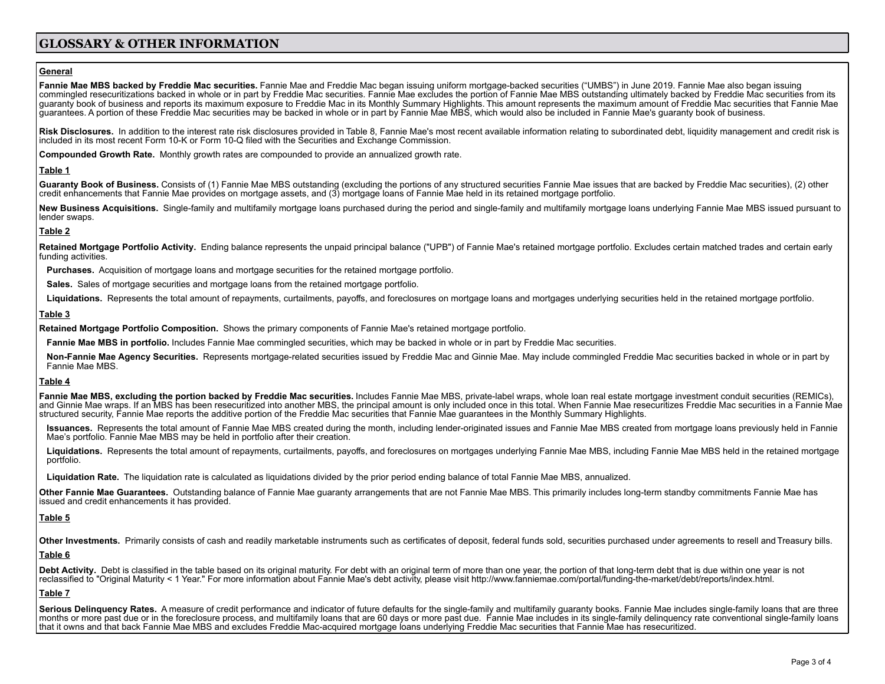## **GLOSSARY & OTHER INFORMATION**

#### **General**

Fannie Mae MBS backed by Freddie Mac securities. Fannie Mae and Freddie Mac began issuing uniform mortgage-backed securities ("UMBS") in June 2019. Fannie Mae also began issuing commingled resecuritizations backed in whole or in part by Freddie Mac securities. Fannie Mae excludes the portion of Fannie Mae MBS outstanding ultimately backed by Freddie Mac securities from its guaranty book of business and reports its maximum exposure to Freddie Mac in its Monthly Summary Highlights. This amount represents the maximum amount of Freddie Mac securities that Fannie Mae guarantees. A portion of these Freddie Mac securities may be backed in whole or in part by Fannie Mae MBS, which would also be included in Fannie Mae's guaranty book of business.

Risk Disclosures. In addition to the interest rate risk disclosures provided in Table 8, Fannie Mae's most recent available information relating to subordinated debt, liquidity management and credit risk is included in its most recent Form 10-K or Form 10-Q filed with the Securities and Exchange Commission.

**Compounded Growth Rate.** Monthly growth rates are compounded to provide an annualized growth rate.

#### **Table 1**

Guaranty Book of Business. Consists of (1) Fannie Mae MBS outstanding (excluding the portions of any structured securities Fannie Mae issues that are backed by Freddie Mac securities), (2) other credit enhancements that Fannie Mae provides on mortgage assets, and (3) mortgage loans of Fannie Mae held in its retained mortgage portfolio.

New Business Acquisitions. Single-family and multifamily mortgage loans purchased during the period and single-family and multifamily mortgage loans underlying Fannie Mae MBS issued pursuant to lender swaps.

## **Table 2**

Retained Mortgage Portfolio Activity. Ending balance represents the unpaid principal balance ("UPB") of Fannie Mae's retained mortgage portfolio. Excludes certain matched trades and certain early funding activities.

**Purchases.** Acquisition of mortgage loans and mortgage securities for the retained mortgage portfolio.

**Sales.** Sales of mortgage securities and mortgage loans from the retained mortgage portfolio.

Liquidations. Represents the total amount of repayments, curtailments, payoffs, and foreclosures on mortgage loans and mortgages underlying securities held in the retained mortgage portfolio.

#### **Table 3**

**Retained Mortgage Portfolio Composition.** Shows the primary components of Fannie Mae's retained mortgage portfolio.

**Fannie Mae MBS in portfolio.** Includes Fannie Mae commingled securities, which may be backed in whole or in part by Freddie Mac securities.

**Non-Fannie Mae Agency Securities.** Represents mortgage-related securities issued by Freddie Mac and Ginnie Mae. May include commingled Freddie Mac securities backed in whole or in part by Fannie Mae MBS.

## **Table 4**

Fannie Mae MBS, excluding the portion backed by Freddie Mac securities. Includes Fannie Mae MBS, private-label wraps, whole loan real estate mortgage investment conduit securities (REMICs), and Ginnie Mae wraps. If an MBS has been resecuritized into another MBS, the principal amount is only included once in this total. When Fannie Mae resecuritizes Freddie Mac securities in a Fannie Mae structured security, Fannie Mae reports the additive portion of the Freddie Mac securities that Fannie Mae guarantees in the Monthly Summary Highlights.

Issuances. Represents the total amount of Fannie Mae MBS created during the month, including lender-originated issues and Fannie Mae MBS created from mortgage loans previously held in Fannie Mae's portfolio. Fannie Mae MBS may be held in portfolio after their creation.

Liquidations. Represents the total amount of repayments, curtailments, payoffs, and foreclosures on mortgages underlying Fannie Mae MBS, including Fannie Mae MBS held in the retained mortgage portfolio.

**Liquidation Rate.** The liquidation rate is calculated as liquidations divided by the prior period ending balance of total Fannie Mae MBS, annualized.

Other Fannie Mae Guarantees. Outstanding balance of Fannie Mae quaranty arrangements that are not Fannie Mae MBS. This primarily includes long-term standby commitments Fannie Mae has issued and credit enhancements it has provided.

## **Table 5**

Other Investments. Primarily consists of cash and readily marketable instruments such as certificates of deposit, federal funds sold, securities purchased under agreements to resell and Treasury bills.

### **Table 6**

Debt Activity. Debt is classified in the table based on its original maturity. For debt with an original term of more than one year, the portion of that long-term debt that is due within one year is not reclassified to "Original Maturity < 1 Year." For more information about Fannie Mae's debt activity, please visit http://www.fanniemae.com/portal/funding-the-market/debt/reports/index.html.

## **Table 7**

Serious Delinquency Rates. A measure of credit performance and indicator of future defaults for the single-family and multifamily guaranty books. Fannie Mae includes single-family loans that are three months or more past due or in the foreclosure process, and multifamily loans that are 60 days or more past due. Fannie Mae includes in its single-family delinquency rate conventional single-family loans that it owns and that back Fannie Mae MBS and excludes Freddie Mac-acquired mortgage loans underlying Freddie Mac securities that Fannie Mae has resecuritized.